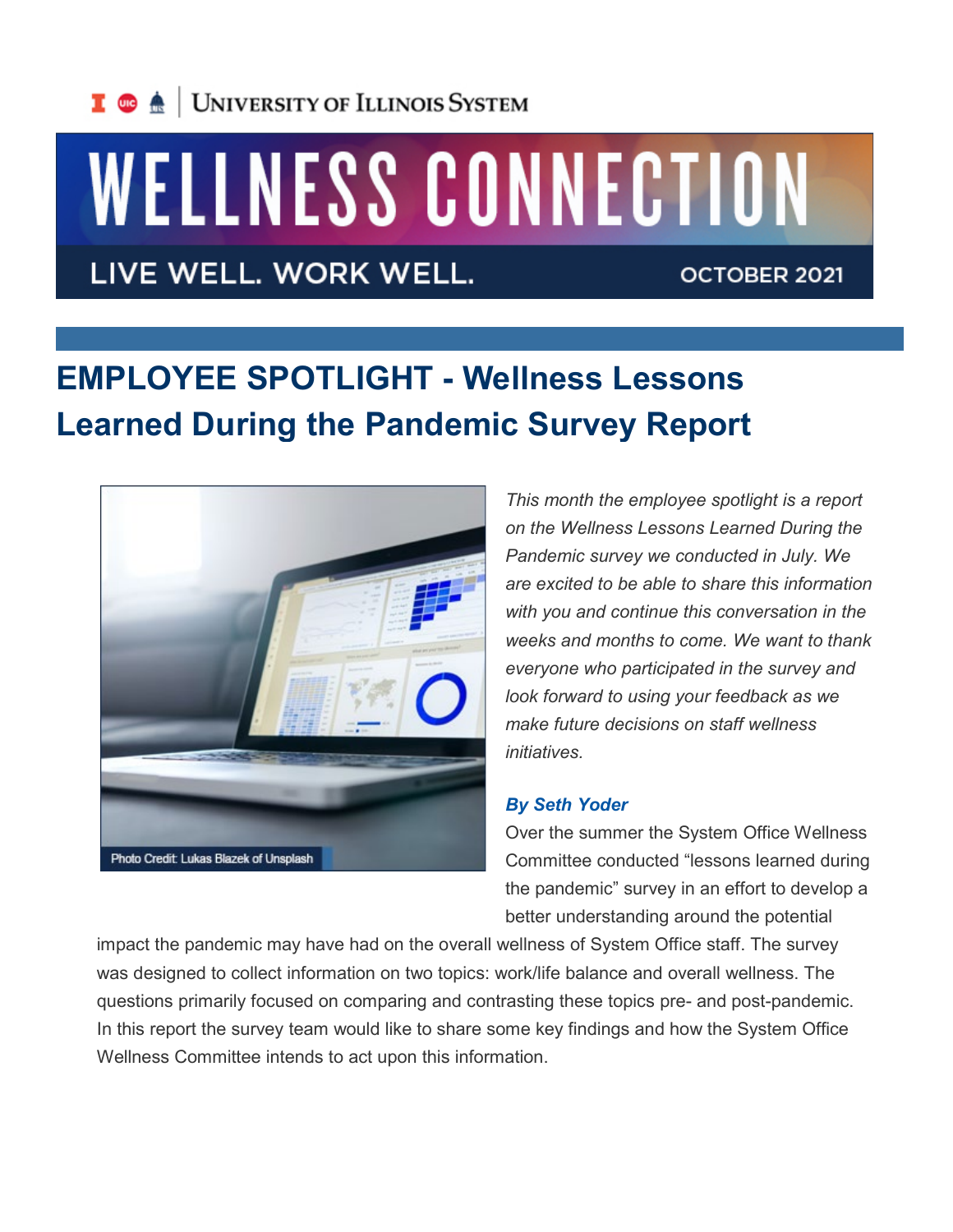

# WELLNESS CONNECTION

LIVE WELL. WORK WELL.

OCTOBER 2021

# **EMPLOYEE SPOTLIGHT - Wellness Lessons Learned During the Pandemic Survey Report**



*This month the employee spotlight is a report on the Wellness Lessons Learned During the Pandemic survey we conducted in July. We are excited to be able to share this information with you and continue this conversation in the weeks and months to come. We want to thank everyone who participated in the survey and look forward to using your feedback as we make future decisions on staff wellness initiatives.* 

#### *By Seth Yoder*

Over the summer the System Office Wellness Committee conducted "lessons learned during the pandemic" survey in an effort to develop a better understanding around the potential

impact the pandemic may have had on the overall wellness of System Office staff. The survey was designed to collect information on two topics: work/life balance and overall wellness. The questions primarily focused on comparing and contrasting these topics pre- and post-pandemic. In this report the survey team would like to share some key findings and how the System Office Wellness Committee intends to act upon this information.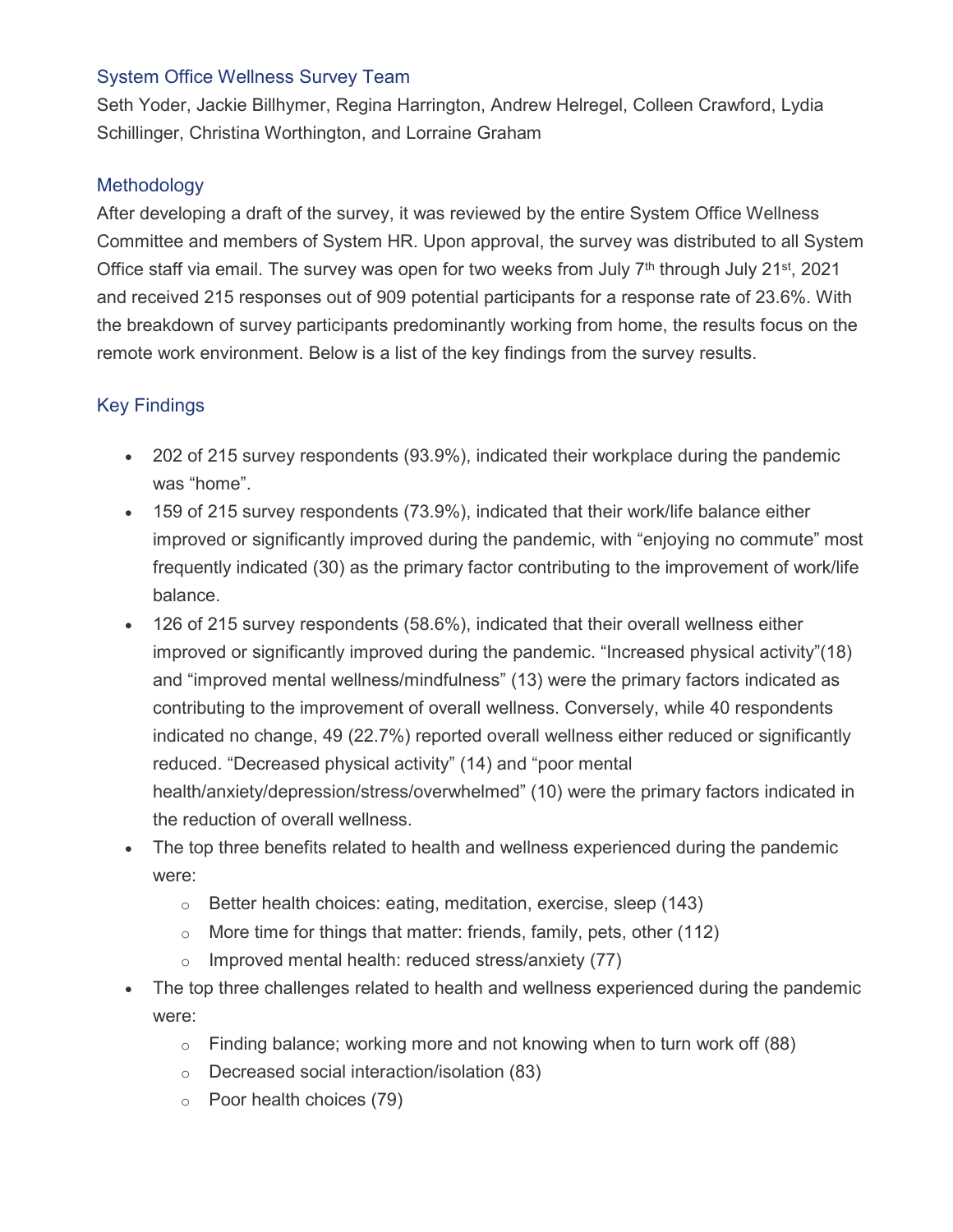### System Office Wellness Survey Team

Seth Yoder, Jackie Billhymer, Regina Harrington, Andrew Helregel, Colleen Crawford, Lydia Schillinger, Christina Worthington, and Lorraine Graham

### **Methodology**

After developing a draft of the survey, it was reviewed by the entire System Office Wellness Committee and members of System HR. Upon approval, the survey was distributed to all System Office staff via email. The survey was open for two weeks from July  $7<sup>th</sup>$  through July 21<sup>st</sup>, 2021 and received 215 responses out of 909 potential participants for a response rate of 23.6%. With the breakdown of survey participants predominantly working from home, the results focus on the remote work environment. Below is a list of the key findings from the survey results.

## Key Findings

- 202 of 215 survey respondents (93.9%), indicated their workplace during the pandemic was "home".
- 159 of 215 survey respondents (73.9%), indicated that their work/life balance either improved or significantly improved during the pandemic, with "enjoying no commute" most frequently indicated (30) as the primary factor contributing to the improvement of work/life balance.
- 126 of 215 survey respondents (58.6%), indicated that their overall wellness either improved or significantly improved during the pandemic. "Increased physical activity"(18) and "improved mental wellness/mindfulness" (13) were the primary factors indicated as contributing to the improvement of overall wellness. Conversely, while 40 respondents indicated no change, 49 (22.7%) reported overall wellness either reduced or significantly reduced. "Decreased physical activity" (14) and "poor mental health/anxiety/depression/stress/overwhelmed" (10) were the primary factors indicated in the reduction of overall wellness.
- The top three benefits related to health and wellness experienced during the pandemic were:
	- o Better health choices: eating, meditation, exercise, sleep (143)
	- $\circ$  More time for things that matter: friends, family, pets, other (112)
	- $\circ$  Improved mental health: reduced stress/anxiety (77)
- The top three challenges related to health and wellness experienced during the pandemic were:
	- $\circ$  Finding balance; working more and not knowing when to turn work off (88)
	- o Decreased social interaction/isolation (83)
	- o Poor health choices (79)